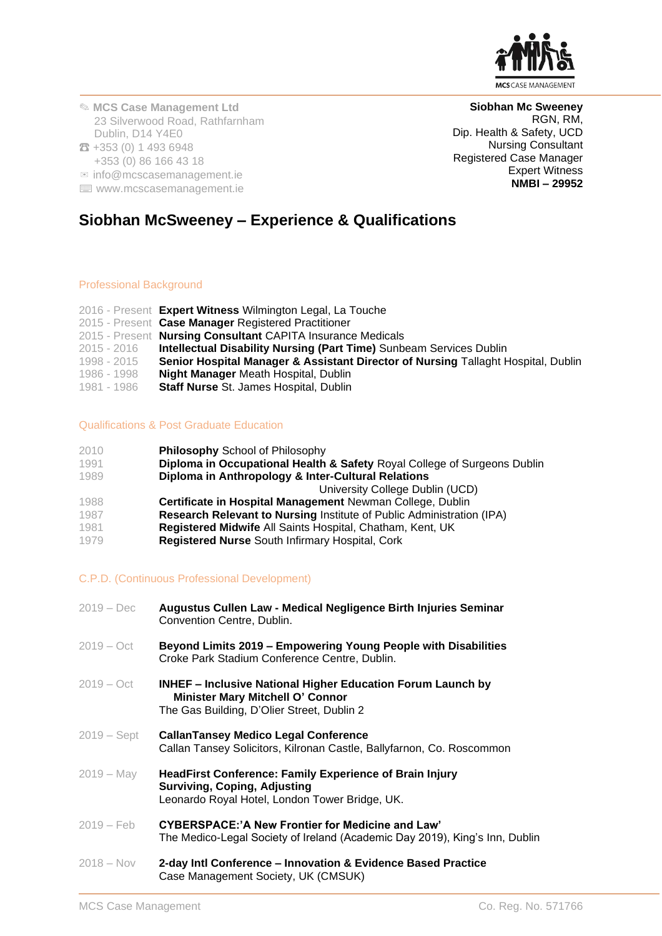

RGN, RM,

Expert Witness **NMBI – 29952**

**Siobhan Mc Sweeney**

Dip. Health & Safety, UCD Nursing Consultant Registered Case Manager

✎ **MCS Case Management Ltd** 23 Silverwood Road, Rathfarnham Dublin, D14 Y4E0 ☎ +353 (0) 1 493 6948 +353 (0) 86 166 43 18  $\mathbb{Z}$  info@mcscasemanagement.ie

⌨ www.mcscasemanagement.ie

**Siobhan McSweeney – Experience & Qualifications**

## Professional Background

|             | 2016 - Present Expert Witness Wilmington Legal, La Touche                         |
|-------------|-----------------------------------------------------------------------------------|
|             | 2015 - Present Case Manager Registered Practitioner                               |
|             | 2015 - Present Nursing Consultant CAPITA Insurance Medicals                       |
| 2015 - 2016 | <b>Intellectual Disability Nursing (Part Time)</b> Sunbeam Services Dublin        |
| 1998 - 2015 | Senior Hospital Manager & Assistant Director of Nursing Tallaght Hospital, Dublin |
| 1986 - 1998 | <b>Night Manager Meath Hospital, Dublin</b>                                       |
| 1981 - 1986 | Staff Nurse St. James Hospital, Dublin                                            |

## Qualifications & Post Graduate Education

| 2010 | <b>Philosophy School of Philosophy</b>                                       |
|------|------------------------------------------------------------------------------|
| 1991 | Diploma in Occupational Health & Safety Royal College of Surgeons Dublin     |
| 1989 | Diploma in Anthropology & Inter-Cultural Relations                           |
|      | University College Dublin (UCD)                                              |
| 1988 | Certificate in Hospital Management Newman College, Dublin                    |
| 1987 | <b>Research Relevant to Nursing Institute of Public Administration (IPA)</b> |
| 1981 | Registered Midwife All Saints Hospital, Chatham, Kent, UK                    |
| 1979 | <b>Registered Nurse South Infirmary Hospital, Cork</b>                       |

# C.P.D. (Continuous Professional Development)

| $2019 - Dec$  | Augustus Cullen Law - Medical Negligence Birth Injuries Seminar<br>Convention Centre, Dublin.                                                               |
|---------------|-------------------------------------------------------------------------------------------------------------------------------------------------------------|
| $2019 - Oct$  | Beyond Limits 2019 – Empowering Young People with Disabilities<br>Croke Park Stadium Conference Centre, Dublin.                                             |
| $2019 - Oct$  | <b>INHEF - Inclusive National Higher Education Forum Launch by</b><br><b>Minister Mary Mitchell O' Connor</b><br>The Gas Building, D'Olier Street, Dublin 2 |
| $2019 - Sept$ | <b>CallanTansey Medico Legal Conference</b><br>Callan Tansey Solicitors, Kilronan Castle, Ballyfarnon, Co. Roscommon                                        |
| 2019 – May    | <b>HeadFirst Conference: Family Experience of Brain Injury</b><br><b>Surviving, Coping, Adjusting</b><br>Leonardo Royal Hotel, London Tower Bridge, UK.     |
| $2019 - Feb$  | <b>CYBERSPACE:'A New Frontier for Medicine and Law'</b><br>The Medico-Legal Society of Ireland (Academic Day 2019), King's Inn, Dublin                      |
| $2018 - Nov$  | 2-day Intl Conference – Innovation & Evidence Based Practice<br>Case Management Society, UK (CMSUK)                                                         |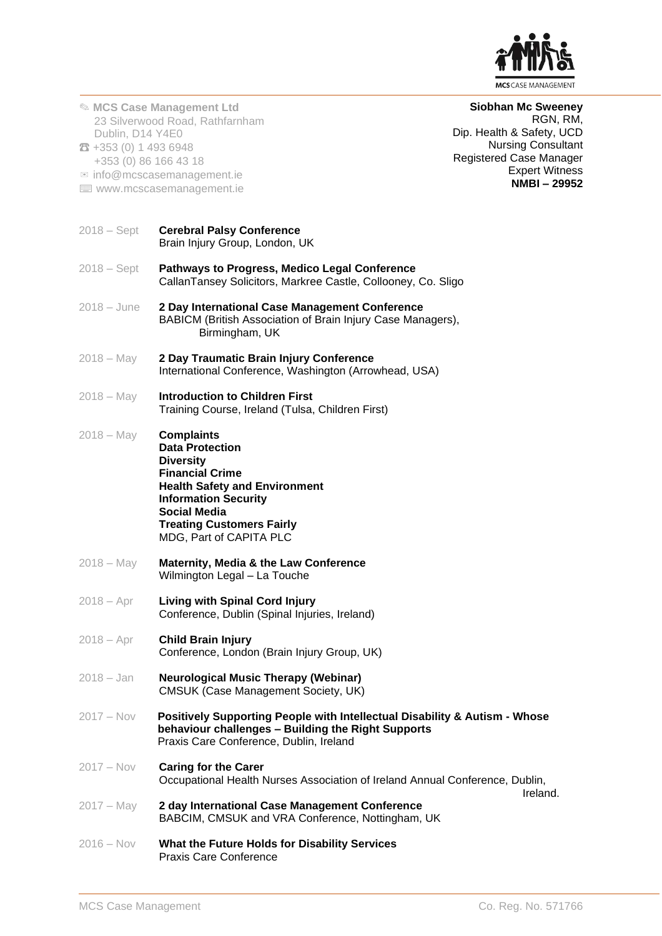

| Dublin, D14 Y4E0<br>$23 + 353(0)$ 1 493 6948 | <b>Siobhan Mc Sweeney</b><br><b>&amp; MCS Case Management Ltd</b><br>RGN, RM,<br>23 Silverwood Road, Rathfarnham<br>Dip. Health & Safety, UCD<br><b>Nursing Consultant</b><br>Registered Case Manager<br>+353 (0) 86 166 43 18<br><b>Expert Witness</b><br>$\equiv$ info@mcscasemanagement.ie<br><b>NMBI-29952</b><br>■ www.mcscasemanagement.ie |
|----------------------------------------------|--------------------------------------------------------------------------------------------------------------------------------------------------------------------------------------------------------------------------------------------------------------------------------------------------------------------------------------------------|
| $2018 - Sept$                                | <b>Cerebral Palsy Conference</b><br>Brain Injury Group, London, UK                                                                                                                                                                                                                                                                               |
| $2018 - Sept$                                | <b>Pathways to Progress, Medico Legal Conference</b><br>CallanTansey Solicitors, Markree Castle, Collooney, Co. Sligo                                                                                                                                                                                                                            |
| $2018 - June$                                | 2 Day International Case Management Conference<br>BABICM (British Association of Brain Injury Case Managers),<br>Birmingham, UK                                                                                                                                                                                                                  |
| $2018 - May$                                 | 2 Day Traumatic Brain Injury Conference<br>International Conference, Washington (Arrowhead, USA)                                                                                                                                                                                                                                                 |
| $2018 - May$                                 | <b>Introduction to Children First</b><br>Training Course, Ireland (Tulsa, Children First)                                                                                                                                                                                                                                                        |
| $2018 - May$                                 | <b>Complaints</b><br><b>Data Protection</b><br><b>Diversity</b><br><b>Financial Crime</b><br><b>Health Safety and Environment</b><br><b>Information Security</b><br><b>Social Media</b><br><b>Treating Customers Fairly</b><br>MDG, Part of CAPITA PLC                                                                                           |
| $2018 - May$                                 | Maternity, Media & the Law Conference<br>Wilmington Legal - La Touche                                                                                                                                                                                                                                                                            |
| $2018 - Apr$                                 | <b>Living with Spinal Cord Injury</b><br>Conference, Dublin (Spinal Injuries, Ireland)                                                                                                                                                                                                                                                           |
| $2018 - Apr$                                 | <b>Child Brain Injury</b><br>Conference, London (Brain Injury Group, UK)                                                                                                                                                                                                                                                                         |
| $2018 - Jan$                                 | <b>Neurological Music Therapy (Webinar)</b><br><b>CMSUK (Case Management Society, UK)</b>                                                                                                                                                                                                                                                        |
| $2017 - Nov$                                 | Positively Supporting People with Intellectual Disability & Autism - Whose<br>behaviour challenges - Building the Right Supports<br>Praxis Care Conference, Dublin, Ireland                                                                                                                                                                      |
| $2017 - Nov$                                 | <b>Caring for the Carer</b><br>Occupational Health Nurses Association of Ireland Annual Conference, Dublin,<br>Ireland.                                                                                                                                                                                                                          |
| $2017 - May$                                 | 2 day International Case Management Conference<br>BABCIM, CMSUK and VRA Conference, Nottingham, UK                                                                                                                                                                                                                                               |
| $2016 - Nov$                                 | What the Future Holds for Disability Services<br><b>Praxis Care Conference</b>                                                                                                                                                                                                                                                                   |